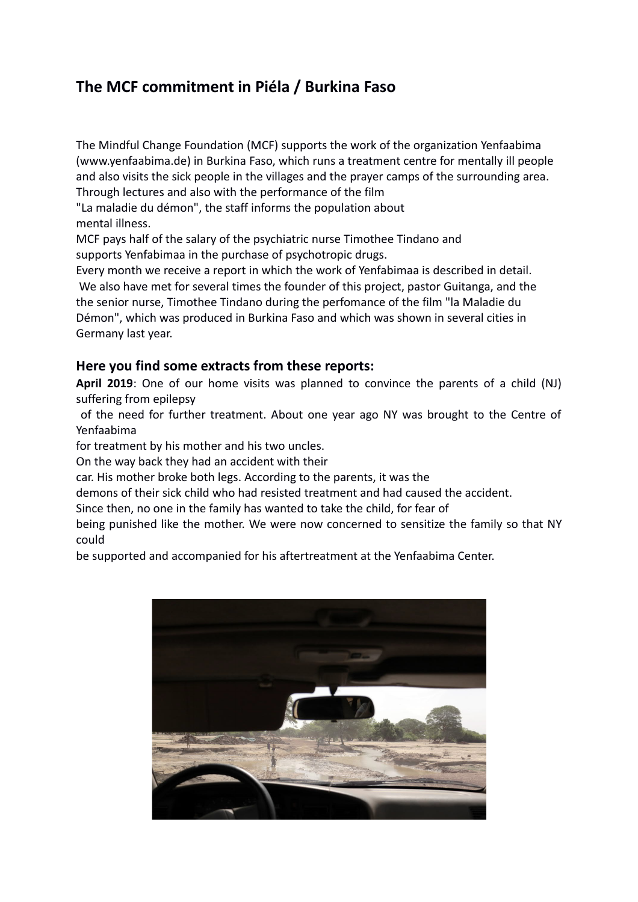## **The MCF commitment in Piéla / Burkina Faso**

The Mindful Change Foundation (MCF) supports the work of the organization Yenfaabima (www.yenfaabima.de) in Burkina Faso, which runs a treatment centre for mentally ill people and also visits the sick people in the villages and the prayer camps of the surrounding area. Through lectures and also with the performance of the film

"La maladie du démon", the staff informs the population about mental illness.

MCF pays half of the salary of the psychiatric nurse Timothee Tindano and supports Yenfabimaa in the purchase of psychotropic drugs.

Every month we receive a report in which the work of Yenfabimaa is described in detail. We also have met for several times the founder of this project, pastor Guitanga, and the

the senior nurse, Timothee Tindano during the perfomance of the film "la Maladie du Démon", which was produced in Burkina Faso and which was shown in several cities in Germany last year.

## **Here you find some extracts from these reports:**

**April 2019**: One of our home visits was planned to convince the parents of a child (NJ) suffering from epilepsy

 of the need for further treatment. About one year ago NY was brought to the Centre of Yenfaabima

for treatment by his mother and his two uncles.

On the way back they had an accident with their

car. His mother broke both legs. According to the parents, it was the

demons of their sick child who had resisted treatment and had caused the accident.

Since then, no one in the family has wanted to take the child, for fear of

being punished like the mother. We were now concerned to sensitize the family so that NY could

be supported and accompanied for his aftertreatment at the Yenfaabima Center.

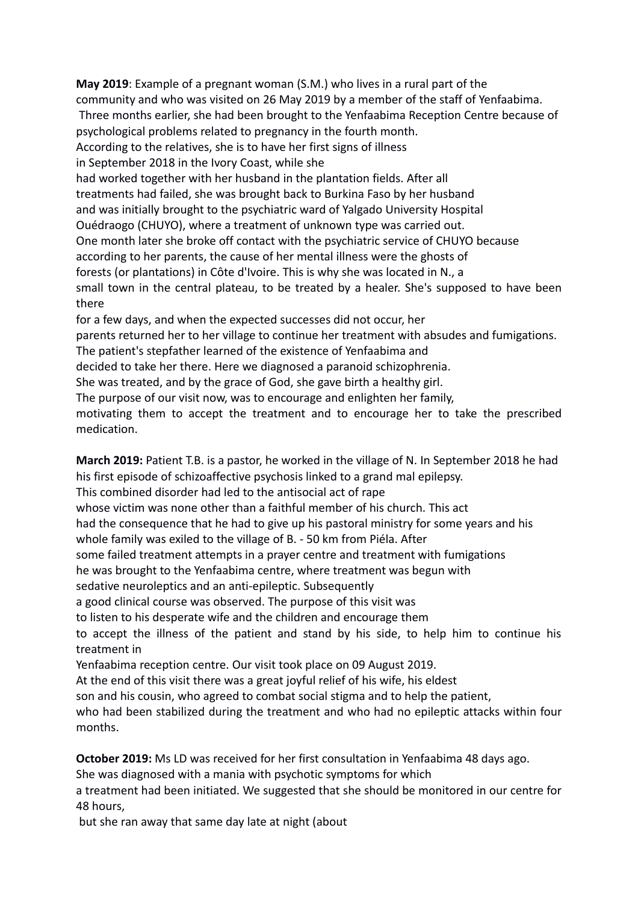**May 2019**: Example of a pregnant woman (S.M.) who lives in a rural part of the community and who was visited on 26 May 2019 by a member of the staff of Yenfaabima. Three months earlier, she had been brought to the Yenfaabima Reception Centre because of psychological problems related to pregnancy in the fourth month. According to the relatives, she is to have her first signs of illness in September 2018 in the Ivory Coast, while she had worked together with her husband in the plantation fields. After all treatments had failed, she was brought back to Burkina Faso by her husband and was initially brought to the psychiatric ward of Yalgado University Hospital Ouédraogo (CHUYO), where a treatment of unknown type was carried out. One month later she broke off contact with the psychiatric service of CHUYO because according to her parents, the cause of her mental illness were the ghosts of forests (or plantations) in Côte d'Ivoire. This is why she was located in N., a small town in the central plateau, to be treated by a healer. She's supposed to have been there for a few days, and when the expected successes did not occur, her parents returned her to her village to continue her treatment with absudes and fumigations. The patient's stepfather learned of the existence of Yenfaabima and

decided to take her there. Here we diagnosed a paranoid schizophrenia.

She was treated, and by the grace of God, she gave birth a healthy girl.

The purpose of our visit now, was to encourage and enlighten her family,

motivating them to accept the treatment and to encourage her to take the prescribed medication.

**March 2019:** Patient T.B. is a pastor, he worked in the village of N. In September 2018 he had his first episode of schizoaffective psychosis linked to a grand mal epilepsy.

This combined disorder had led to the antisocial act of rape

whose victim was none other than a faithful member of his church. This act

had the consequence that he had to give up his pastoral ministry for some years and his

whole family was exiled to the village of B. - 50 km from Piéla. After

some failed treatment attempts in a prayer centre and treatment with fumigations

he was brought to the Yenfaabima centre, where treatment was begun with

sedative neuroleptics and an anti-epileptic. Subsequently

a good clinical course was observed. The purpose of this visit was

to listen to his desperate wife and the children and encourage them

to accept the illness of the patient and stand by his side, to help him to continue his treatment in

Yenfaabima reception centre. Our visit took place on 09 August 2019.

At the end of this visit there was a great joyful relief of his wife, his eldest

son and his cousin, who agreed to combat social stigma and to help the patient,

who had been stabilized during the treatment and who had no epileptic attacks within four months.

**October 2019:** Ms LD was received for her first consultation in Yenfaabima 48 days ago.

She was diagnosed with a mania with psychotic symptoms for which

a treatment had been initiated. We suggested that she should be monitored in our centre for 48 hours,

but she ran away that same day late at night (about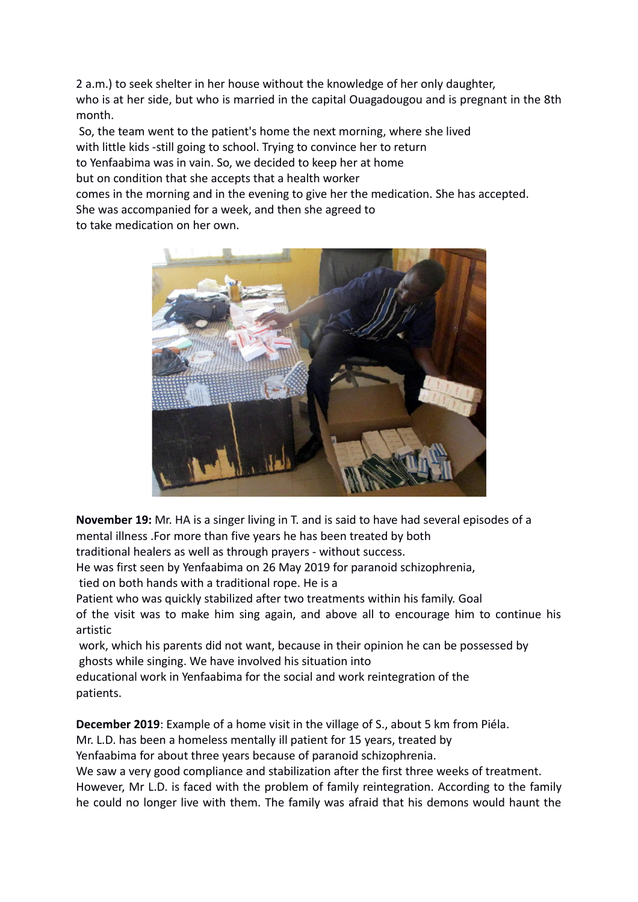2 a.m.) to seek shelter in her house without the knowledge of her only daughter, who is at her side, but who is married in the capital Ouagadougou and is pregnant in the 8th month.

 So, the team went to the patient's home the next morning, where she lived with little kids -still going to school. Trying to convince her to return to Yenfaabima was in vain. So, we decided to keep her at home but on condition that she accepts that a health worker

comes in the morning and in the evening to give her the medication. She has accepted.

She was accompanied for a week, and then she agreed to

to take medication on her own.



**November 19:** Mr. HA is a singer living in T. and is said to have had several episodes of a mental illness .For more than five years he has been treated by both

traditional healers as well as through prayers - without success.

He was first seen by Yenfaabima on 26 May 2019 for paranoid schizophrenia,

tied on both hands with a traditional rope. He is a

Patient who was quickly stabilized after two treatments within his family. Goal

of the visit was to make him sing again, and above all to encourage him to continue his artistic

 work, which his parents did not want, because in their opinion he can be possessed by ghosts while singing. We have involved his situation into

educational work in Yenfaabima for the social and work reintegration of the patients.

**December 2019**: Example of a home visit in the village of S., about 5 km from Piéla.

Mr. L.D. has been a homeless mentally ill patient for 15 years, treated by

Yenfaabima for about three years because of paranoid schizophrenia.

We saw a very good compliance and stabilization after the first three weeks of treatment. However, Mr L.D. is faced with the problem of family reintegration. According to the family he could no longer live with them. The family was afraid that his demons would haunt the